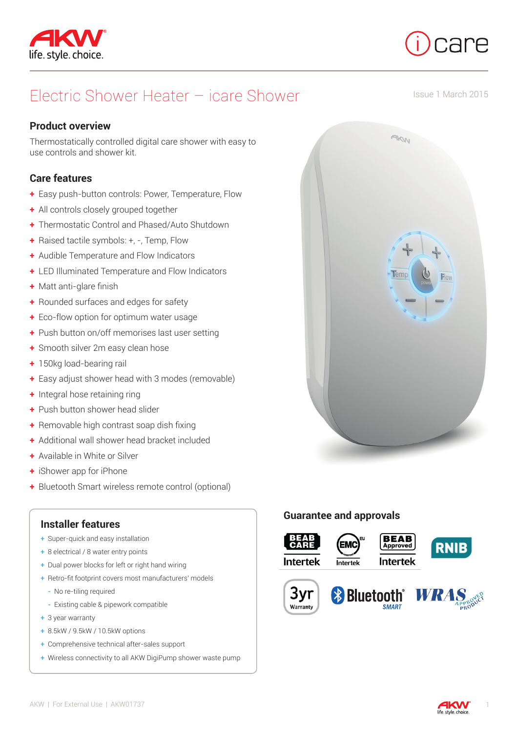



Issue 1 March 2015

# Electric Shower Heater – icare Shower

### **Product overview**

Thermostatically controlled digital care shower with easy to use controls and shower kit.

## **Care features**

- **+** Easy push-button controls: Power, Temperature, Flow
- **+** All controls closely grouped together
- **+** Thermostatic Control and Phased/Auto Shutdown
- **+** Raised tactile symbols: +, -, Temp, Flow
- **+** Audible Temperature and Flow Indicators
- **+** LED Illuminated Temperature and Flow Indicators
- **+** Matt anti-glare finish
- **+** Rounded surfaces and edges for safety
- **+** Eco-flow option for optimum water usage
- **+** Push button on/off memorises last user setting
- **+** Smooth silver 2m easy clean hose
- **+** 150kg load-bearing rail
- **+** Easy adjust shower head with 3 modes (removable)
- **+** Integral hose retaining ring
- **+** Push button shower head slider
- **+** Removable high contrast soap dish fixing
- **+** Additional wall shower head bracket included
- **+** Available in White or Silver
- **+** iShower app for iPhone
- **+** Bluetooth Smart wireless remote control (optional)

### **Installer features**

- **+** Super-quick and easy installation
- **+** 8 electrical / 8 water entry points
- **+** Dual power blocks for left or right hand wiring
- **+** Retro-fit footprint covers most manufacturers' models
	- **-** No re-tiling required
- **-** Existing cable & pipework compatible
- **+** 3 year warranty
- **+** 8.5kW / 9.5kW / 10.5kW options
- **+** Comprehensive technical after-sales support
- **+** Wireless connectivity to all AKW DigiPump shower waste pump



## **Guarantee and approvals**



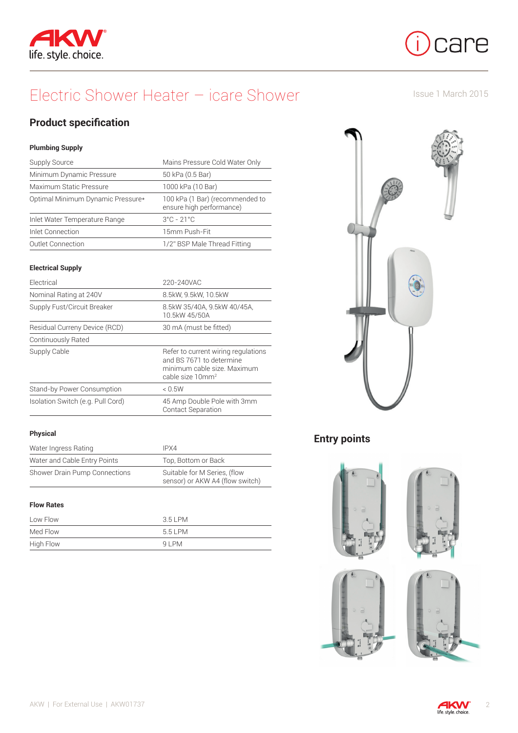



# Electric Shower Heater – icare Shower

Issue 1 March 2015

# **Product specification**

#### **Plumbing Supply**

| Supply Source                     | Mains Pressure Cold Water Only                              |
|-----------------------------------|-------------------------------------------------------------|
| Minimum Dynamic Pressure          | 50 kPa (0.5 Bar)                                            |
| Maximum Static Pressure           | 1000 kPa (10 Bar)                                           |
| Optimal Minimum Dynamic Pressure* | 100 kPa (1 Bar) (recommended to<br>ensure high performance) |
| Inlet Water Temperature Range     | $3^{\circ}$ C - 21 $^{\circ}$ C                             |
| Inlet Connection                  | 15mm Push-Fit                                               |
| <b>Outlet Connection</b>          | 1/2" BSP Male Thread Fitting                                |

#### **Electrical Supply**

| Electrical                        | 220-240VAC                                                                                                                     |
|-----------------------------------|--------------------------------------------------------------------------------------------------------------------------------|
| Nominal Rating at 240V            | 8.5kW, 9.5kW, 10.5kW                                                                                                           |
| Supply Fust/Circuit Breaker       | 8.5kW 35/40A, 9.5kW 40/45A,<br>10.5kW 45/50A                                                                                   |
| Residual Curreny Device (RCD)     | 30 mA (must be fitted)                                                                                                         |
| Continuously Rated                |                                                                                                                                |
| Supply Cable                      | Refer to current wiring regulations<br>and BS 7671 to determine<br>minimum cable size. Maximum<br>cable size 10mm <sup>2</sup> |
| Stand-by Power Consumption        | < 0.5W                                                                                                                         |
| Isolation Switch (e.g. Pull Cord) | 45 Amp Double Pole with 3mm<br><b>Contact Separation</b>                                                                       |

#### **Physical**

| Water Ingress Rating          | IPX4                                                            |
|-------------------------------|-----------------------------------------------------------------|
| Water and Cable Entry Points  | Top, Bottom or Back                                             |
| Shower Drain Pump Connections | Suitable for M Series, (flow<br>sensor) or AKW A4 (flow switch) |

#### **Flow Rates**

| Low Flow         | 3.5 LPM |
|------------------|---------|
| Med Flow         | 551 PM  |
| <b>High Flow</b> | $91$ PM |



# **Entry points**